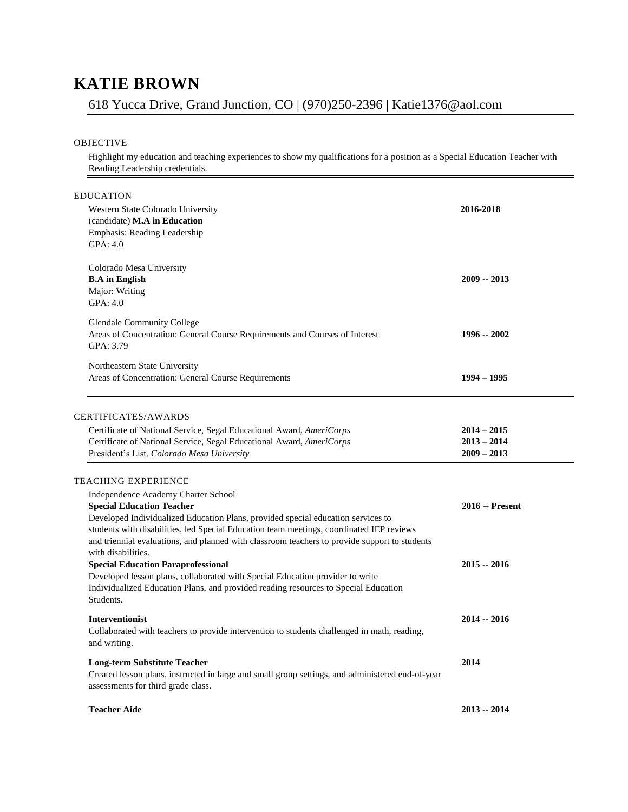## **KATIE BROWN**

## 618 Yucca Drive, Grand Junction, CO | (970)250-2396 | Katie1376@aol.com

## OBJECTIVE

Highlight my education and teaching experiences to show my qualifications for a position as a Special Education Teacher with Reading Leadership credentials.

| EDUCATION<br>Western State Colorado University<br>(candidate) M.A in Education<br>Emphasis: Reading Leadership<br>GPA: 4.0                                                                                                                                                                                                                                                                            | 2016-2018                                       |
|-------------------------------------------------------------------------------------------------------------------------------------------------------------------------------------------------------------------------------------------------------------------------------------------------------------------------------------------------------------------------------------------------------|-------------------------------------------------|
| Colorado Mesa University<br><b>B.A</b> in English<br>Major: Writing<br>GPA: 4.0                                                                                                                                                                                                                                                                                                                       | $2009 - 2013$                                   |
| <b>Glendale Community College</b><br>Areas of Concentration: General Course Requirements and Courses of Interest<br>GPA: 3.79                                                                                                                                                                                                                                                                         | 1996 -- 2002                                    |
| Northeastern State University<br>Areas of Concentration: General Course Requirements                                                                                                                                                                                                                                                                                                                  | $1994 - 1995$                                   |
| CERTIFICATES/AWARDS<br>Certificate of National Service, Segal Educational Award, AmeriCorps<br>Certificate of National Service, Segal Educational Award, AmeriCorps<br>President's List, Colorado Mesa University                                                                                                                                                                                     | $2014 - 2015$<br>$2013 - 2014$<br>$2009 - 2013$ |
| TEACHING EXPERIENCE<br>Independence Academy Charter School<br><b>Special Education Teacher</b><br>Developed Individualized Education Plans, provided special education services to<br>students with disabilities, led Special Education team meetings, coordinated IEP reviews<br>and triennial evaluations, and planned with classroom teachers to provide support to students<br>with disabilities. | <b>2016 -- Present</b>                          |
| <b>Special Education Paraprofessional</b><br>Developed lesson plans, collaborated with Special Education provider to write<br>Individualized Education Plans, and provided reading resources to Special Education<br>Students.                                                                                                                                                                        | $2015 - 2016$                                   |
| <b>Interventionist</b><br>Collaborated with teachers to provide intervention to students challenged in math, reading,<br>and writing.                                                                                                                                                                                                                                                                 | 2014 -- 2016                                    |
| <b>Long-term Substitute Teacher</b><br>Created lesson plans, instructed in large and small group settings, and administered end-of-year<br>assessments for third grade class.                                                                                                                                                                                                                         | 2014                                            |
| <b>Teacher Aide</b>                                                                                                                                                                                                                                                                                                                                                                                   | 2013 -- 2014                                    |